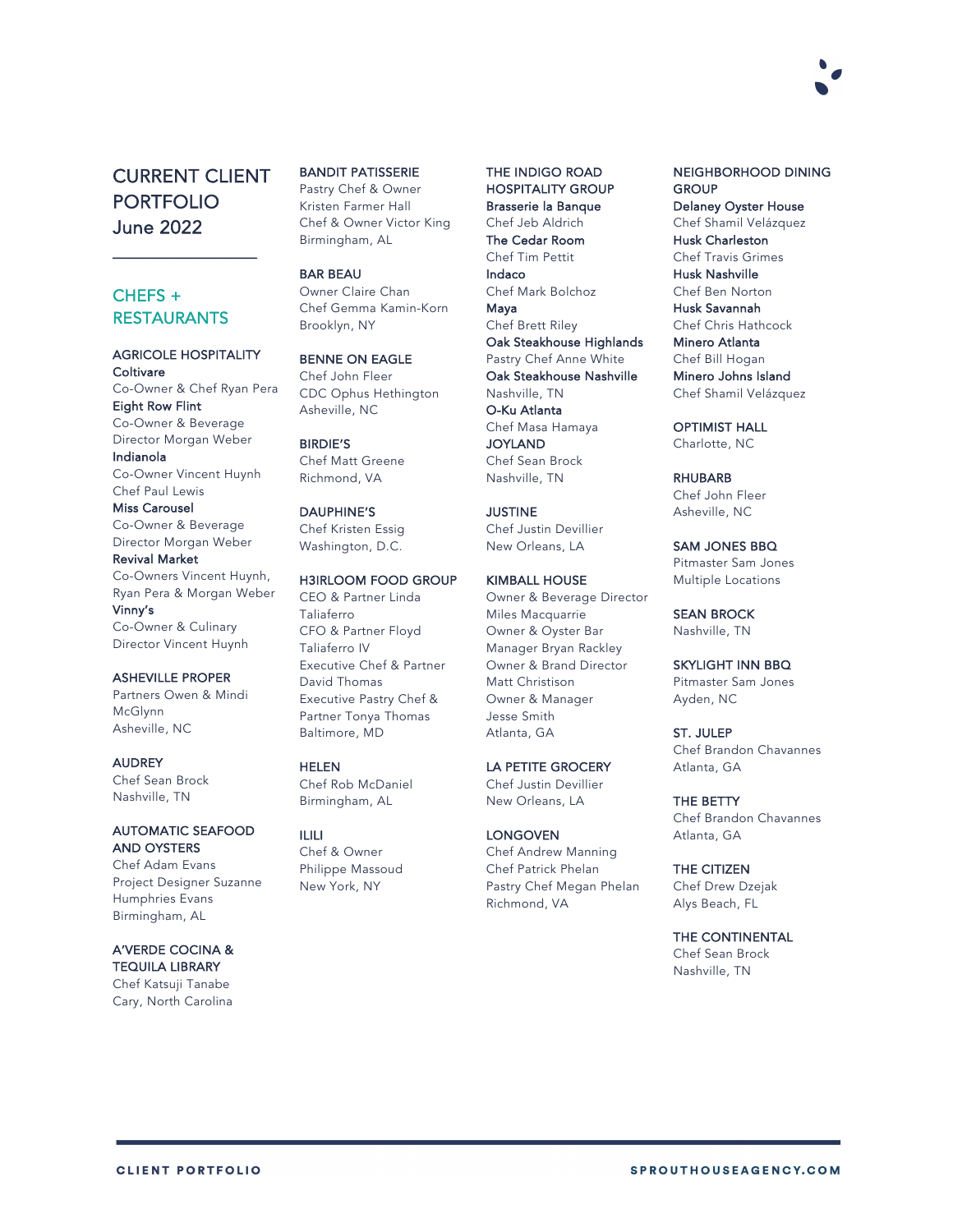

# CURRENT CLIENT PORTFOLIO June 2022

 $\overline{\phantom{a}}$  , where  $\overline{\phantom{a}}$ 

## CHEFS + **RESTAURANTS**

#### AGRICOLE HOSPITALITY **Coltivare**

Co-Owner & Chef Ryan Pera Eight Row Flint Co-Owner & Beverage Director Morgan Weber

Indianola Co-Owner Vincent Huynh

Chef Paul Lewis Miss Carousel

Co-Owner & Beverage Director Morgan Weber Revival Market

Co-Owners Vincent Huynh, Ryan Pera & Morgan Weber Vinny's Co-Owner & Culinary

Director Vincent Huynh

## ASHEVILLE PROPER

Partners Owen & Mindi McGlynn Asheville, NC

AUDREY Chef Sean Brock Nashville, TN

#### AUTOMATIC SEAFOOD AND OYSTERS

Chef Adam Evans Project Designer Suzanne Humphries Evans Birmingham, AL

#### A'VERDE COCINA & TEQUILA LIBRARY

Chef Katsuji Tanabe Cary, North Carolina

### BANDIT PATISSERIE

Pastry Chef & Owner Kristen Farmer Hall Chef & Owner Victor King Birmingham, AL

BAR BEAU Owner Claire Chan Chef Gemma Kamin-Korn

Brooklyn, NY

BENNE ON EAGLE Chef John Fleer CDC Ophus Hethington Asheville, NC

#### BIRDIE'S

Chef Matt Greene Richmond, VA

## DAUPHINE'S

Chef Kristen Essig Washington, D.C.

#### H3IRLOOM FOOD GROUP

CEO & Partner Linda Taliaferro CFO & Partner Floyd Taliaferro IV Executive Chef & Partner David Thomas Executive Pastry Chef & Partner Tonya Thomas Baltimore, MD

#### HELEN

Chef Rob McDaniel Birmingham, AL

#### ILILI

Chef & Owner Philippe Massoud New York, NY

## THE INDIGO ROAD HOSPITALITY GROUP

Brasserie la Banque Chef Jeb Aldrich The Cedar Room Chef Tim Pettit Indaco Chef Mark Bolchoz Maya Chef Brett Riley Oak Steakhouse Highlands Pastry Chef Anne White Oak Steakhouse Nashville Nashville, TN O-Ku Atlanta Chef Masa Hamaya **JOYLAND** Chef Sean Brock Nashville, TN

## JUSTINE

Chef Justin Devillier New Orleans, LA

#### KIMBALL HOUSE

Owner & Beverage Director Miles Macquarrie Owner & Oyster Bar Manager Bryan Rackley Owner & Brand Director Matt Christison Owner & Manager Jesse Smith Atlanta, GA

#### LA PETITE GROCERY

Chef Justin Devillier New Orleans, LA

#### **LONGOVEN**

Chef Andrew Manning Chef Patrick Phelan Pastry Chef Megan Phelan Richmond, VA

#### NEIGHBORHOOD DINING **GROUP**

Delaney Oyster House Chef Shamil Velázquez Husk Charleston Chef Travis Grimes Husk Nashville Chef Ben Norton Husk Savannah Chef Chris Hathcock Minero Atlanta Chef Bill Hogan Minero Johns Island Chef Shamil Velázquez

# OPTIMIST HALL

Charlotte, NC

## RHUBARB

Chef John Fleer Asheville, NC

### SAM JONES BBQ

Pitmaster Sam Jones Multiple Locations

SEAN BROCK Nashville, TN

## SKYLIGHT INN BBQ

Pitmaster Sam Jones Ayden, NC

ST. JULEP Chef Brandon Chavannes Atlanta, GA

#### THE BETTY Chef Brandon Chavannes Atlanta, GA

THE CITIZEN Chef Drew Dzejak Alys Beach, FL

## THE CONTINENTAL

Chef Sean Brock Nashville, TN